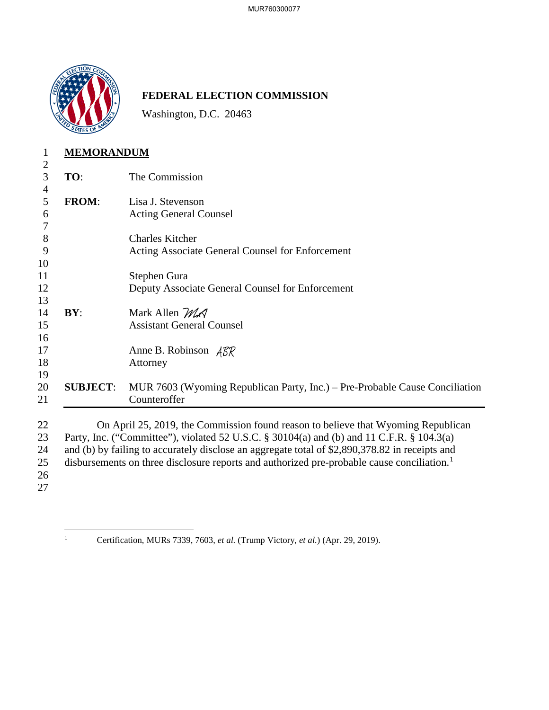

## **FEDERAL ELECTION COMMISSION**

Washington, D.C. 20463

| $\mathbf{1}$                        | <b>MEMORANDUM</b>                                                                              |                                                                                                        |  |
|-------------------------------------|------------------------------------------------------------------------------------------------|--------------------------------------------------------------------------------------------------------|--|
| $\mathbf{2}$<br>3<br>$\overline{4}$ | TO:                                                                                            | The Commission                                                                                         |  |
| 5                                   | <b>FROM:</b>                                                                                   | Lisa J. Stevenson                                                                                      |  |
| 6                                   |                                                                                                | <b>Acting General Counsel</b>                                                                          |  |
| $\tau$                              |                                                                                                |                                                                                                        |  |
| 8                                   |                                                                                                | <b>Charles Kitcher</b>                                                                                 |  |
| 9                                   |                                                                                                | Acting Associate General Counsel for Enforcement                                                       |  |
| 10                                  |                                                                                                |                                                                                                        |  |
| 11                                  |                                                                                                | Stephen Gura                                                                                           |  |
| 12                                  |                                                                                                | Deputy Associate General Counsel for Enforcement                                                       |  |
| 13                                  |                                                                                                |                                                                                                        |  |
| 14                                  | BY:                                                                                            | Mark Allen $M$                                                                                         |  |
| 15                                  |                                                                                                | <b>Assistant General Counsel</b>                                                                       |  |
| 16                                  |                                                                                                |                                                                                                        |  |
| 17                                  |                                                                                                | Anne B. Robinson $\widehat{ABR}$                                                                       |  |
| 18                                  |                                                                                                | Attorney                                                                                               |  |
| 19                                  |                                                                                                |                                                                                                        |  |
| 20                                  | <b>SUBJECT:</b>                                                                                | MUR 7603 (Wyoming Republican Party, Inc.) – Pre-Probable Cause Conciliation                            |  |
| 21                                  |                                                                                                | Counteroffer                                                                                           |  |
|                                     |                                                                                                |                                                                                                        |  |
| 22                                  | On April 25, 2019, the Commission found reason to believe that Wyoming Republican              |                                                                                                        |  |
| 23                                  | Party, Inc. ("Committee"), violated 52 U.S.C. § 30104(a) and (b) and 11 C.F.R. § 104.3(a)      |                                                                                                        |  |
| 24                                  | and (b) by failing to accurately disclose an aggregate total of \$2,890,378.82 in receipts and |                                                                                                        |  |
| 25                                  |                                                                                                | disbursements on three disclosure reports and authorized pre-probable cause conciliation. <sup>1</sup> |  |
| 26                                  |                                                                                                |                                                                                                        |  |

27

<span id="page-0-0"></span><sup>|&</sup>lt;br>|<br>|

Certification, MURs 7339, 7603, *et al.* (Trump Victory, *et al.*) (Apr. 29, 2019).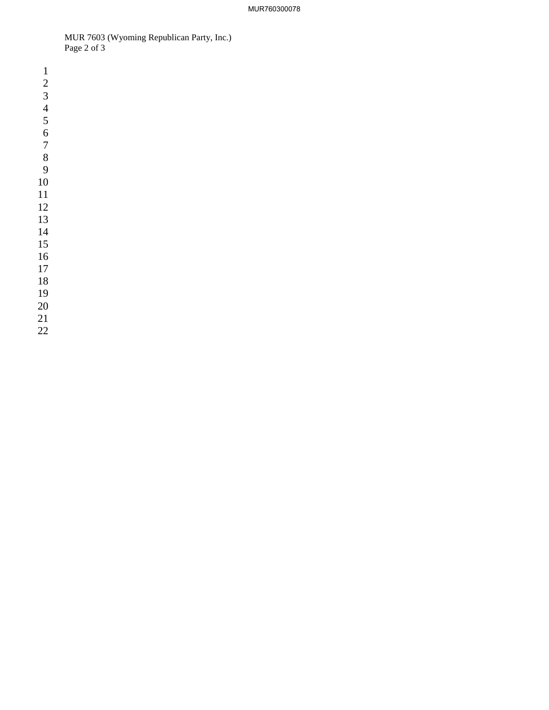MUR 7603 (Wyoming Republican Party, Inc.) Page 2 of 3